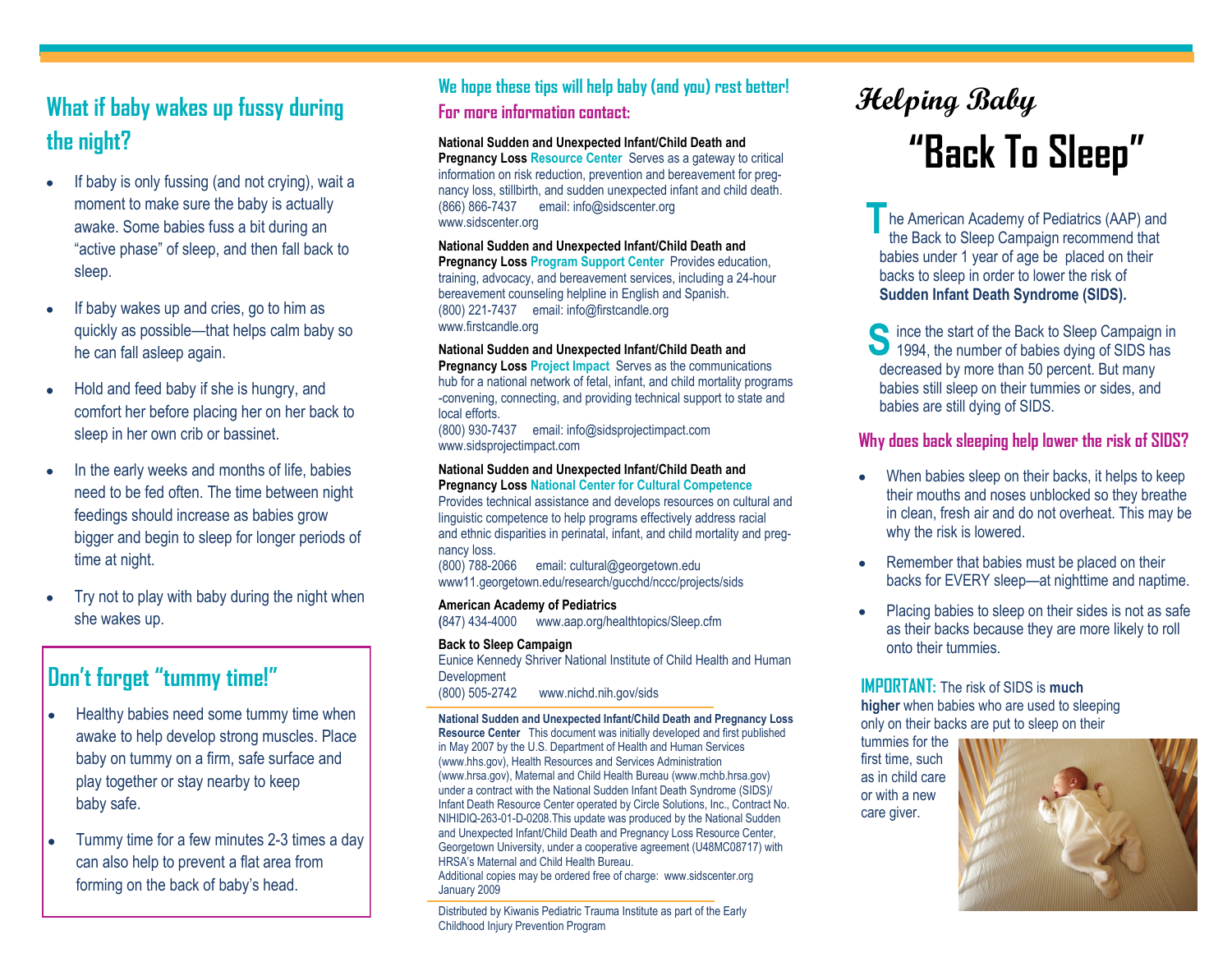# **What if baby wakes up fussy during the night?**

- If baby is only fussing (and not crying), wait a moment to make sure the baby is actually awake. Some babies fuss a bit during an "active phase" of sleep, and then fall back to sleep.
- If baby wakes up and cries, go to him as quickly as possible—that helps calm baby so he can fall asleep again.
- Hold and feed baby if she is hungry, and comfort her before placing her on her back to sleep in her own crib or bassinet.
- In the early weeks and months of life, babies need to be fed often. The time between night feedings should increase as babies grow bigger and begin to sleep for longer periods of time at night.
- Try not to play with baby during the night when she wakes up.

# **Don't forget "tummy time!"**

- Healthy babies need some tummy time when  $\bullet$ awake to help develop strong muscles. Place baby on tummy on a firm, safe surface and play together or stay nearby to keep baby safe.
- Tummy time for a few minutes 2-3 times a day can also help to prevent a flat area from forming on the back of baby's head.

## **We hope these tips will help baby (and you) rest better! For more information contact:**

## **National Sudden and Unexpected Infant/Child Death and**

**Pregnancy Loss Resource Center** Serves as a gateway to critical information on risk reduction, prevention and bereavement for pregnancy loss, stillbirth, and sudden unexpected infant and child death. (866) 866-7437 email: info@sidscenter.org www.sidscenter.org

### **National Sudden and Unexpected Infant/Child Death and**

**Pregnancy Loss Program Support Center** Provides education, training, advocacy, and bereavement services, including a 24-hour bereavement counseling helpline in English and Spanish. (800) 221-7437 email: info@firstcandle.org www.firstcandle.org

### **National Sudden and Unexpected Infant/Child Death and**

**Pregnancy Loss Project Impact** Serves as the communications hub for a national network of fetal, infant, and child mortality programs -convening, connecting, and providing technical support to state and local efforts.

(800) 930-7437 email: info@sidsprojectimpact.com www.sidsprojectimpact.com

#### **National Sudden and Unexpected Infant/Child Death and Pregnancy Loss National Center for Cultural Competence**

Provides technical assistance and develops resources on cultural and linguistic competence to help programs effectively address racial and ethnic disparities in perinatal, infant, and child mortality and pregnancy loss.

(800) 788-2066 email: cultural@georgetown.edu www11.georgetown.edu/research/gucchd/nccc/projects/sids

### **American Academy of Pediatrics**

**(**847) 434-4000 www.aap.org/healthtopics/Sleep.cfm

**Back to Sleep Campaign** Eunice Kennedy Shriver National Institute of Child Health and Human **Development** (800) 505-2742 www.nichd.nih.gov/sids

**National Sudden and Unexpected Infant/Child Death and Pregnancy Loss Resource Center** This document was initially developed and first published in May 2007 by the U.S. Department of Health and Human Services (www.hhs.gov), Health Resources and Services Administration (www.hrsa.gov), Maternal and Child Health Bureau (www.mchb.hrsa.gov) under a contract with the National Sudden Infant Death Syndrome (SIDS)/ Infant Death Resource Center operated by Circle Solutions, Inc., Contract No. NIHIDIQ-263-01-D-0208.This update was produced by the National Sudden and Unexpected Infant/Child Death and Pregnancy Loss Resource Center, Georgetown University, under a cooperative agreement (U48MC08717) with HRSA's Maternal and Child Health Bureau.

Additional copies may be ordered free of charge: www.sidscenter.org January 2009

Distributed by Kiwanis Pediatric Trauma Institute as part of the Early Childhood Injury Prevention Program

# **Helping Baby "Back To Sleep"**

he American Academy of Pediatrics (AAP) and the Back to Sleep Campaign recommend that babies under 1 year of age be placed on their backs to sleep in order to lower the risk of **Sudden Infant Death Syndrome (SIDS). T**

Since the start of the Back to Sleep Campaign in 1994, the number of babies dying of SIDS has 1994, the number of babies dying of SIDS has decreased by more than 50 percent. But many babies still sleep on their tummies or sides, and babies are still dying of SIDS.

## **Why does back sleeping help lower the risk of SIDS?**

- When babies sleep on their backs, it helps to keep their mouths and noses unblocked so they breathe in clean, fresh air and do not overheat. This may be why the risk is lowered.
- Remember that babies must be placed on their backs for EVERY sleep—at nighttime and naptime.
- Placing babies to sleep on their sides is not as safe as their backs because they are more likely to roll onto their tummies.

**IMPORTANT:** The risk of SIDS is **much higher** when babies who are used to sleeping only on their backs are put to sleep on their

tummies for the first time, such as in child care or with a new care giver.